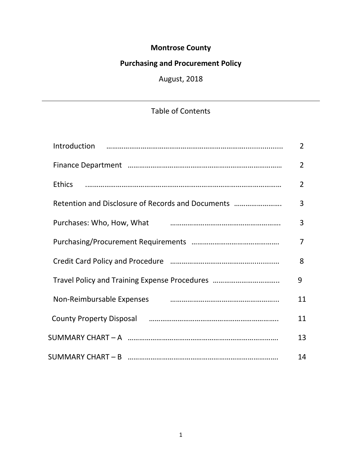## **Montrose County**

# **Purchasing and Procurement Policy**

# August, 2018

## Table of Contents

|                                                                                             | $\overline{2}$ |
|---------------------------------------------------------------------------------------------|----------------|
|                                                                                             | $\overline{2}$ |
| <b>Ethics</b>                                                                               | $\overline{2}$ |
| Retention and Disclosure of Records and Documents                                           | 3              |
|                                                                                             | 3              |
|                                                                                             | 7              |
|                                                                                             | 8              |
| Travel Policy and Training Expense Procedures                                               | 9              |
| Non-Reimbursable Expenses <b>contained a manufature of the CA</b> non-Reimbursable Expenses | 11             |
| County Property Disposal manufactured and the County Property Disposal                      | 11             |
|                                                                                             | 13             |
|                                                                                             | 14             |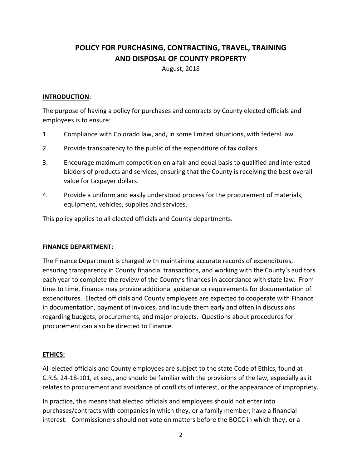## **POLICY FOR PURCHASING, CONTRACTING, TRAVEL, TRAINING AND DISPOSAL OF COUNTY PROPERTY**

August, 2018

#### **INTRODUCTION**:

The purpose of having a policy for purchases and contracts by County elected officials and employees is to ensure:

- 1. Compliance with Colorado law, and, in some limited situations, with federal law.
- 2. Provide transparency to the public of the expenditure of tax dollars.
- 3. Encourage maximum competition on a fair and equal basis to qualified and interested bidders of products and services, ensuring that the County is receiving the best overall value for taxpayer dollars.
- 4. Provide a uniform and easily understood process for the procurement of materials, equipment, vehicles, supplies and services.

This policy applies to all elected officials and County departments.

#### **FINANCE DEPARTMENT**:

The Finance Department is charged with maintaining accurate records of expenditures, ensuring transparency in County financial transactions, and working with the County's auditors each year to complete the review of the County's finances in accordance with state law. From time to time, Finance may provide additional guidance or requirements for documentation of expenditures. Elected officials and County employees are expected to cooperate with Finance in documentation, payment of invoices, and include them early and often in discussions regarding budgets, procurements, and major projects. Questions about procedures for procurement can also be directed to Finance.

## **ETHICS:**

All elected officials and County employees are subject to the state Code of Ethics, found at C.R.S. 24-18-101, et seq., and should be familiar with the provisions of the law, especially as it relates to procurement and avoidance of conflicts of interest, or the appearance of impropriety.

In practice, this means that elected officials and employees should not enter into purchases/contracts with companies in which they, or a family member, have a financial interest. Commissioners should not vote on matters before the BOCC in which they, or a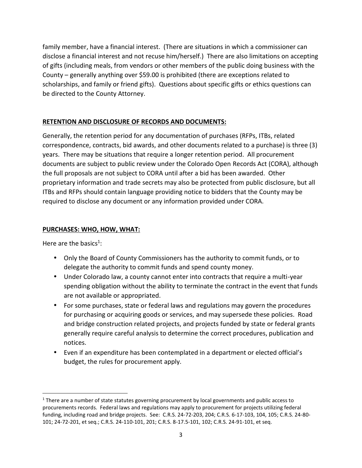family member, have a financial interest. (There are situations in which a commissioner can disclose a financial interest and not recuse him/herself.) There are also limitations on accepting of gifts (including meals, from vendors or other members of the public doing business with the County – generally anything over \$59.00 is prohibited (there are exceptions related to scholarships, and family or friend gifts). Questions about specific gifts or ethics questions can be directed to the County Attorney.

## **RETENTION AND DISCLOSURE OF RECORDS AND DOCUMENTS:**

Generally, the retention period for any documentation of purchases (RFPs, ITBs, related correspondence, contracts, bid awards, and other documents related to a purchase) is three (3) years. There may be situations that require a longer retention period. All procurement documents are subject to public review under the Colorado Open Records Act (CORA), although the full proposals are not subject to CORA until after a bid has been awarded. Other proprietary information and trade secrets may also be protected from public disclosure, but all ITBs and RFPs should contain language providing notice to bidders that the County may be required to disclose any document or any information provided under CORA.

#### **PURCHASES: WHO, HOW, WHAT:**

Here are the basics<sup>1</sup>:

- Only the Board of County Commissioners has the authority to commit funds, or to delegate the authority to commit funds and spend county money.
- Under Colorado law, a county cannot enter into contracts that require a multi-year spending obligation without the ability to terminate the contract in the event that funds are not available or appropriated.
- For some purchases, state or federal laws and regulations may govern the procedures for purchasing or acquiring goods or services, and may supersede these policies. Road and bridge construction related projects, and projects funded by state or federal grants generally require careful analysis to determine the correct procedures, publication and notices.
- Even if an expenditure has been contemplated in a department or elected official's budget, the rules for procurement apply.

<sup>&</sup>lt;sup>1</sup> There are a number of state statutes governing procurement by local governments and public access to procurements records. Federal laws and regulations may apply to procurement for projects utilizing federal funding, including road and bridge projects. See: C.R.S. 24-72-203, 204; C.R.S. 6-17-103, 104, 105; C.R.S. 24-80- 101; 24-72-201, et seq.; C.R.S. 24-110-101, 201; C.R.S. 8-17.5-101, 102; C.R.S. 24-91-101, et seq.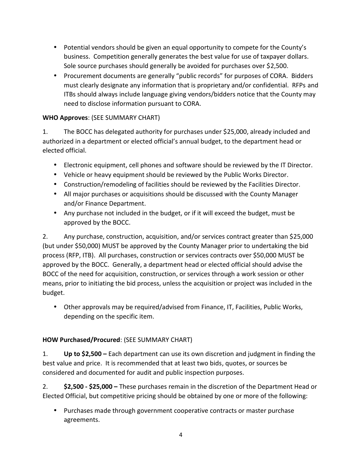- Potential vendors should be given an equal opportunity to compete for the County's business. Competition generally generates the best value for use of taxpayer dollars. Sole source purchases should generally be avoided for purchases over \$2,500.
- Procurement documents are generally "public records" for purposes of CORA. Bidders must clearly designate any information that is proprietary and/or confidential. RFPs and ITBs should always include language giving vendors/bidders notice that the County may need to disclose information pursuant to CORA.

## **WHO Approves**: (SEE SUMMARY CHART)

1. The BOCC has delegated authority for purchases under \$25,000, already included and authorized in a department or elected official's annual budget, to the department head or elected official.

 Electronic equipment, cell phones and software should be reviewed by the IT Director. Vehicle or heavy equipment should be reviewed by the Public Works Director.

- Construction/remodeling of facilities should be reviewed by the Facilities Director.
- All major purchases or acquisitions should be discussed with the County Manager and/or Finance Department.
- Any purchase not included in the budget, or if it will exceed the budget, must be approved by the BOCC.

2. Any purchase, construction, acquisition, and/or services contract greater than \$25,000 (but under \$50,000) MUST be approved by the County Manager prior to undertaking the bid process (RFP, ITB). All purchases, construction or services contracts over \$50,000 MUST be approved by the BOCC. Generally, a department head or elected official should advise the BOCC of the need for acquisition, construction, or services through a work session or other means, prior to initiating the bid process, unless the acquisition or project was included in the budget.

 Other approvals may be required/advised from Finance, IT, Facilities, Public Works, depending on the specific item.

## **HOW Purchased/Procured**: (SEE SUMMARY CHART)

1. **Up to \$2,500 –** Each department can use its own discretion and judgment in finding the best value and price. It is recommended that at least two bids, quotes, or sources be considered and documented for audit and public inspection purposes.

2. **\$2,500 - \$25,000 –** These purchases remain in the discretion of the Department Head or Elected Official, but competitive pricing should be obtained by one or more of the following:

 Purchases made through government cooperative contracts or master purchase agreements.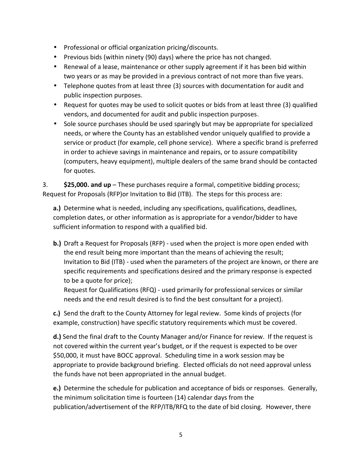Professional or official organization pricing/discounts.

) Previous bids (within ninety (90) days) where the price has not changed.

- Renewal of a lease, maintenance or other supply agreement if it has been bid within two years or as may be provided in a previous contract of not more than five years.
- Telephone quotes from at least three (3) sources with documentation for audit and public inspection purposes.
- Request for quotes may be used to solicit quotes or bids from at least three (3)qualified vendors, and documented for audit and public inspection purposes.
- Sole source purchases should be used sparingly but may be appropriate for specialized needs, or where the County has an established vendor uniquely qualified to provide a service or product (for example, cell phone service). Where a specific brand is preferred in order to achieve savings in maintenance and repairs, or to assure compatibility (computers, heavy equipment), multiple dealers of the same brand should be contacted for quotes.

3. **\$25,000. and up** – These purchases require a formal, competitive bidding process; Request for Proposals (RFP)or Invitation to Bid (ITB). The steps for this process are:

**a.)** Determine what is needed, including any specifications, qualifications, deadlines, completion dates, or other information as is appropriate for a vendor/bidder to have sufficient information to respond with a qualified bid.

**b.)** Draft a Request for Proposals (RFP) - used when the project is more open ended with the end result being more important than the means of achieving the result; Invitation to Bid (ITB) - used when the parameters of the project are known, or there are specific requirements and specifications desired and the primary response is expected to be a quote for price);

Request for Qualifications (RFQ) - used primarily for professional services or similar needs and the end result desired is to find the best consultant for a project).

**c.)** Send the draft to the County Attorney for legal review. Some kinds of projects (for example, construction) have specific statutory requirements which must be covered.

**d.)** Send the final draft to the County Manager and/or Finance for review. If the request is not covered within the current year's budget, or if the request is expected to be over \$50,000, it must have BOCC approval. Scheduling time in a work session may be appropriate to provide background briefing. Elected officials do not need approval unless the funds have not been appropriated in the annual budget.

**e.)** Determine the schedule for publication and acceptance of bids or responses. Generally, the minimum solicitation time is fourteen (14) calendar days from the publication/advertisement of the RFP/ITB/RFQ to the date of bid closing. However, there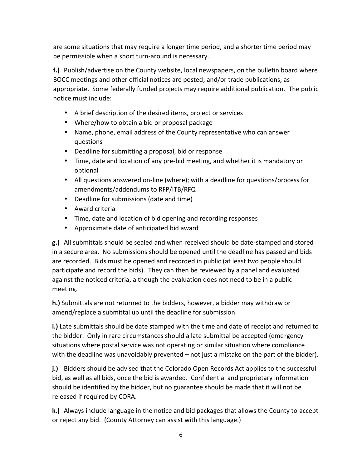are some situations that may require a longer time period, and a shorter time period may be permissible when a short turn-around is necessary.

**f.)** Publish/advertise on the County website, local newspapers, on the bulletin board where BOCC meetings and other official notices are posted; and/or trade publications, as appropriate. Some federally funded projects may require additional publication. The public notice must include:

- A brief description of the desired items, project or services
- Where/how to obtain a bid or proposal package
- Name, phone, email address of the County representative who can answer questions
- Deadline for submitting a proposal, bid or response
- Time, date and location of any pre-bid meeting, and whether it is mandatory or optional
- All questions answered on-line (where); with a deadline for questions/process for amendments/addendums to RFP/ITB/RFQ
- Deadline for submissions (date and time)
- Award criteria
- Time, date and location of bid opening and recording responses
- Approximate date of anticipated bid award

**g.)** All submittals should be sealed and when received should be date-stamped and stored in a secure area. No submissions should be opened until the deadline has passed and bids are recorded. Bids must be opened and recorded in public (at least two people should participate and record the bids). They can then be reviewed by a panel and evaluated against the noticed criteria, although the evaluation does not need to be in a public meeting.

**h.)** Submittals are not returned to the bidders, however, a bidder may withdraw or amend/replace a submittal up until the deadline for submission.

**i.)** Late submittals should be date stamped with the time and date of receipt and returned to the bidder. Only in rare circumstances should a late submittal be accepted (emergency situations where postal service was not operating or similar situation where compliance with the deadline was unavoidably prevented – not just a mistake on the part of the bidder).

**j.)** Bidders should be advised that the Colorado Open Records Act applies to the successful bid, as well as all bids, once the bid is awarded. Confidential and proprietary information should be identified by the bidder, but no guarantee should be made that it will not be released if required by CORA.

**k.)** Always include language in the notice and bid packages that allows the County to accept or reject any bid. (County Attorney can assist with this language.)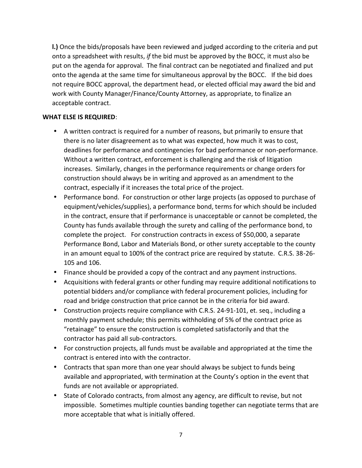**l.)** Once the bids/proposals have been reviewed and judged according to the criteria and put onto a spreadsheet with results, *if* the bid must be approved by the BOCC, it must also be put on the agenda for approval. The final contract can be negotiated and finalized and put onto the agenda at the same time for simultaneous approval by the BOCC. If the bid does not require BOCC approval, the department head, or elected official may award the bid and work with County Manager/Finance/County Attorney, as appropriate, to finalize an acceptable contract.

#### **WHAT ELSE IS REQUIRED**:

- A written contract is required for a number of reasons, but primarily to ensure that there is no later disagreement as to what was expected, how much it was to cost, deadlines for performance and contingencies for bad performance or non-performance. Without a written contract, enforcement is challenging and the risk of litigation increases. Similarly, changes in the performance requirements or change orders for construction should always be in writing and approved as an amendment to the contract, especially if it increases the total price of the project.
- Performance bond. For construction or other large projects (as opposed to purchase of equipment/vehicles/supplies), a performance bond, terms for which should be included in the contract, ensure that if performance is unacceptable or cannot be completed, the County has funds available through the surety and calling of the performance bond, to complete the project. For construction contracts in excess of \$50,000, a separate Performance Bond, Labor and Materials Bond, or other surety acceptable to the county in an amount equal to 100% of the contract price are required by statute. C.R.S. 38-26- 105 and 106.
- Finance should be provided a copy of the contract and any payment instructions. Acquisitions with federal grants or other funding may require additional notifications to potential bidders and/or compliance with federal procurement policies, including for road and bridge construction that price cannot be in the criteria for bid award.
- Construction projects require compliance with C.R.S. 24-91-101, et. seq., including a monthly payment schedule; this permits withholding of 5% of the contract price as "retainage" to ensure the construction is completed satisfactorily and that the contractor has paid all sub-contractors.
- For construction projects, all funds must be available and appropriated at the time the contract is entered into with the contractor.
- Contracts that span more than one year should always be subject to funds being available and appropriated, with termination at the County's option in the event that funds are not available or appropriated.
- State of Colorado contracts, from almost any agency, are difficult to revise, but not impossible. Sometimes multiple counties banding together can negotiate terms that are more acceptable that what is initially offered.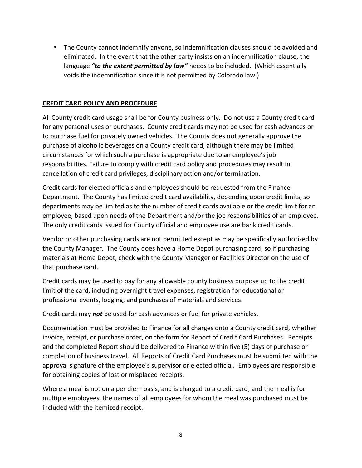The County cannot indemnify anyone, so indemnification clauses should be avoided and eliminated. In the event that the other party insists on an indemnification clause, the language *"to the extent permitted by law"* needs to be included. (Which essentially voids the indemnification since it is not permitted by Colorado law.)

#### **CREDIT CARD POLICY AND PROCEDURE**

All County credit card usage shall be for County business only. Do not use a County credit card for any personal uses or purchases. County credit cards may not be used for cash advances or to purchase fuel for privately owned vehicles. The County does not generally approve the purchase of alcoholic beverages on a County credit card, although there may be limited circumstances for which such a purchase is appropriate due to an employee's job responsibilities. Failure to comply with credit card policy and procedures may result in cancellation of credit card privileges, disciplinary action and/or termination.

Credit cards for elected officials and employees should be requested from the Finance Department. The County has limited credit card availability, depending upon credit limits, so departments may be limited as to the number of credit cards available or the credit limit for an employee, based upon needs of the Department and/or the job responsibilities of an employee. The only credit cards issued for County official and employee use are bank credit cards.

Vendor or other purchasing cards are not permitted except as may be specifically authorized by the County Manager. The County does have a Home Depot purchasing card, so if purchasing materials at Home Depot, check with the County Manager or Facilities Director on the use of that purchase card.

Credit cards may be used to pay for any allowable county business purpose up to the credit limit of the card, including overnight travel expenses, registration for educational or professional events, lodging, and purchases of materials and services.

Credit cards may *not* be used for cash advances or fuel for private vehicles.

Documentation must be provided to Finance for all charges onto a County credit card, whether invoice, receipt, or purchase order, on the form for Report of Credit Card Purchases. Receipts and the completed Report should be delivered to Finance within five (5) days of purchase or completion of business travel. All Reports of Credit Card Purchases must be submitted with the approval signature of the employee's supervisor or elected official. Employees are responsible for obtaining copies of lost or misplaced receipts.

Where a meal is not on a per diem basis, and is charged to a credit card, and the meal is for multiple employees, the names of all employees for whom the meal was purchased must be included with the itemized receipt.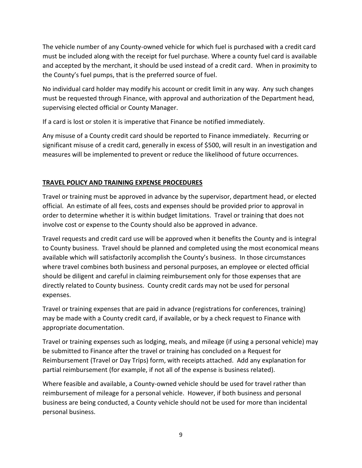The vehicle number of any County-owned vehicle for which fuel is purchased with a credit card must be included along with the receipt for fuel purchase. Where a county fuel card is available and accepted by the merchant, it should be used instead of a credit card. When in proximity to the County's fuel pumps, that is the preferred source of fuel.

No individual card holder may modify his account or credit limit in any way. Any such changes must be requested through Finance, with approval and authorization of the Department head, supervising elected official or County Manager.

If a card is lost or stolen it is imperative that Finance be notified immediately.

Any misuse of a County credit card should be reported to Finance immediately. Recurring or significant misuse of a credit card, generally in excess of \$500, will result in an investigation and measures will be implemented to prevent or reduce the likelihood of future occurrences.

## **TRAVEL POLICY AND TRAINING EXPENSE PROCEDURES**

Travel or training must be approved in advance by the supervisor, department head, or elected official. An estimate of all fees, costs and expenses should be provided prior to approval in order to determine whether it is within budget limitations. Travel or training that does not involve cost or expense to the County should also be approved in advance.

Travel requests and credit card use will be approved when it benefits the County and is integral to County business. Travel should be planned and completed using the most economical means available which will satisfactorily accomplish the County's business. In those circumstances where travel combines both business and personal purposes, an employee or elected official should be diligent and careful in claiming reimbursement only for those expenses that are directly related to County business. County credit cards may not be used for personal expenses.

Travel or training expenses that are paid in advance (registrations for conferences, training) may be made with a County credit card, if available, or by a check request to Finance with appropriate documentation.

Travel or training expenses such as lodging, meals, and mileage (if using a personal vehicle) may be submitted to Finance after the travel or training has concluded on a Request for Reimbursement (Travel or Day Trips) form, with receipts attached. Add any explanation for partial reimbursement (for example, if not all of the expense is business related).

Where feasible and available, a County-owned vehicle should be used for travel rather than reimbursement of mileage for a personal vehicle. However, if both business and personal business are being conducted, a County vehicle should not be used for more than incidental personal business.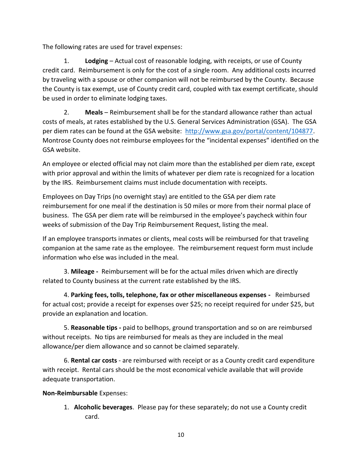The following rates are used for travel expenses:

1. **Lodging** – Actual cost of reasonable lodging, with receipts, or use of County credit card. Reimbursement is only for the cost of a single room. Any additional costs incurred by traveling with a spouse or other companion will not be reimbursed by the County. Because the County is tax exempt, use of County credit card, coupled with tax exempt certificate, should be used in order to eliminate lodging taxes.

2. **Meals** – Reimbursement shall be for the standard allowance rather than actual costs of meals, at rates established by the U.S. General Services Administration (GSA). The GSA per diem rates can be found at the GSA website: http://www.gsa.gov/portal/content/104877. Montrose County does not reimburse employees for the "incidental expenses" identified on the GSA website.

An employee or elected official may not claim more than the established per diem rate, except with prior approval and within the limits of whatever per diem rate is recognized for a location by the IRS. Reimbursement claims must include documentation with receipts.

Employees on Day Trips (no overnight stay) are entitled to the GSA per diem rate reimbursement for one meal if the destination is 50 miles or more from their normal place of business. The GSA per diem rate will be reimbursed in the employee's paycheck within four weeks of submission of the Day Trip Reimbursement Request, listing the meal.

If an employee transports inmates or clients, meal costs will be reimbursed for that traveling companion at the same rate as the employee. The reimbursement request form must include information who else was included in the meal.

3. **Mileage -** Reimbursement will be for the actual miles driven which are directly related to County business at the current rate established by the IRS.

4. **Parking fees, tolls, telephone, fax or other miscellaneous expenses -** Reimbursed for actual cost; provide a receipt for expenses over \$25; no receipt required for under \$25, but provide an explanation and location.

5. **Reasonable tips -** paid to bellhops, ground transportation and so on are reimbursed without receipts. No tips are reimbursed for meals as they are included in the meal allowance/per diem allowance and so cannot be claimed separately.

6. **Rental car costs** - are reimbursed with receipt or as a County credit card expenditure with receipt. Rental cars should be the most economical vehicle available that will provide adequate transportation.

## **Non-Reimbursable** Expenses:

1. **Alcoholic beverages**. Please pay for these separately; do not use a County credit card.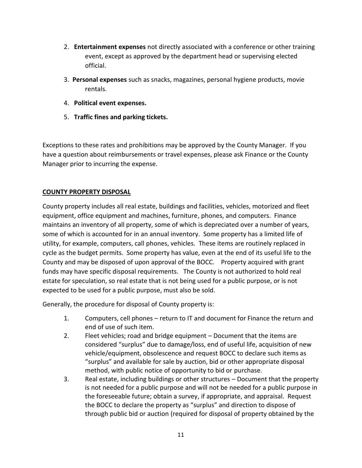- 2. **Entertainment expenses** not directly associated with a conference or other training event, except as approved by the department head or supervising elected official.
- 3. **Personal expenses** such as snacks, magazines, personal hygiene products, movie rentals.
- 4. **Political event expenses.**
- 5. **Traffic fines and parking tickets.**

Exceptions to these rates and prohibitions may be approved by the County Manager. If you have a question about reimbursements or travel expenses, please ask Finance or the County Manager prior to incurring the expense.

## **COUNTY PROPERTY DISPOSAL**

County property includes all real estate, buildings and facilities, vehicles, motorized and fleet equipment, office equipment and machines, furniture, phones, and computers. Finance maintains an inventory of all property, some of which is depreciated over a number of years, some of which is accounted for in an annual inventory. Some property has a limited life of utility, for example, computers, call phones, vehicles. These items are routinely replaced in cycle as the budget permits. Some property has value, even at the end of its useful life to the County and may be disposed of upon approval of the BOCC. Property acquired with grant funds may have specific disposal requirements. The County is not authorized to hold real estate for speculation, so real estate that is not being used for a public purpose, or is not expected to be used for a public purpose, must also be sold.

Generally, the procedure for disposal of County property is:

- 1. Computers, cell phones return to IT and document for Finance the return and end of use of such item.
- 2. Fleet vehicles; road and bridge equipment Document that the items are considered "surplus" due to damage/loss, end of useful life, acquisition of new vehicle/equipment, obsolescence and request BOCC to declare such items as "surplus" and available for sale by auction, bid or other appropriate disposal method, with public notice of opportunity to bid or purchase.
- 3. Real estate, including buildings or other structures Document that the property is not needed for a public purpose and will not be needed for a public purpose in the foreseeable future; obtain a survey, if appropriate, and appraisal. Request the BOCC to declare the property as "surplus" and direction to dispose of through public bid or auction (required for disposal of property obtained by the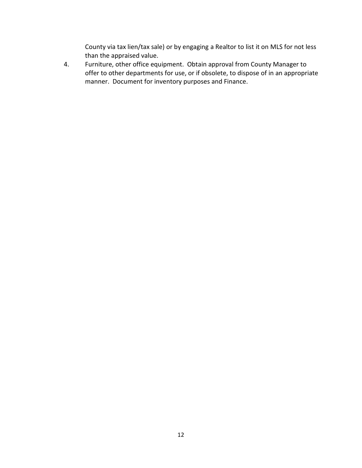County via tax lien/tax sale) or by engaging a Realtor to list it on MLS for not less than the appraised value.

4. Furniture, other office equipment. Obtain approval from County Manager to offer to other departments for use, or if obsolete, to dispose of in an appropriate manner. Document for inventory purposes and Finance.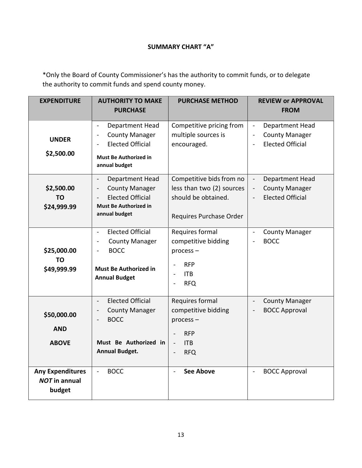## **SUMMARY CHART "A"**

\*Only the Board of County Commissioner's has the authority to commit funds, or to delegate the authority to commit funds and spend county money.

| <b>EXPENDITURE</b>                                        | <b>AUTHORITY TO MAKE</b><br><b>PURCHASE</b>                                                                                                                        | <b>PURCHASE METHOD</b>                                                                                                          | <b>REVIEW or APPROVAL</b><br><b>FROM</b>                                              |
|-----------------------------------------------------------|--------------------------------------------------------------------------------------------------------------------------------------------------------------------|---------------------------------------------------------------------------------------------------------------------------------|---------------------------------------------------------------------------------------|
|                                                           |                                                                                                                                                                    |                                                                                                                                 |                                                                                       |
| <b>UNDER</b><br>\$2,500.00                                | Department Head<br>$\blacksquare$<br><b>County Manager</b><br>$\blacksquare$<br><b>Elected Official</b><br><b>Must Be Authorized in</b><br>annual budget           | Competitive pricing from<br>multiple sources is<br>encouraged.                                                                  | Department Head<br>$\blacksquare$<br><b>County Manager</b><br><b>Elected Official</b> |
| \$2,500.00<br><b>TO</b><br>\$24,999.99                    | Department Head<br>$\blacksquare$<br><b>County Manager</b><br>$\overline{\phantom{0}}$<br><b>Elected Official</b><br><b>Must Be Authorized in</b><br>annual budget | Competitive bids from no<br>less than two (2) sources<br>should be obtained.<br>Requires Purchase Order                         | Department Head<br>$\Box$<br><b>County Manager</b><br><b>Elected Official</b>         |
| \$25,000.00<br><b>TO</b><br>\$49,999.99                   | <b>Elected Official</b><br>$\blacksquare$<br><b>County Manager</b><br>$\blacksquare$<br><b>BOCC</b><br><b>Must Be Authorized in</b><br><b>Annual Budget</b>        | Requires formal<br>competitive bidding<br>process-<br><b>RFP</b><br><b>ITB</b><br>ä,<br><b>RFQ</b><br>$\overline{\phantom{0}}$  | <b>County Manager</b><br>$\blacksquare$<br><b>BOCC</b>                                |
| \$50,000.00<br><b>AND</b><br><b>ABOVE</b>                 | <b>Elected Official</b><br>$\blacksquare$<br><b>County Manager</b><br><b>BOCC</b><br>Must Be Authorized in<br><b>Annual Budget.</b>                                | Requires formal<br>competitive bidding<br>process-<br><b>RFP</b><br><b>ITB</b><br>$\frac{1}{2}$<br><b>RFQ</b><br>$\overline{a}$ | <b>County Manager</b><br>$\overline{\phantom{a}}$<br><b>BOCC Approval</b>             |
| <b>Any Expenditures</b><br><b>NOT</b> in annual<br>budget | <b>BOCC</b><br>$\overline{\phantom{a}}$                                                                                                                            | <b>See Above</b><br>$\overline{\phantom{0}}$                                                                                    | <b>BOCC Approval</b>                                                                  |